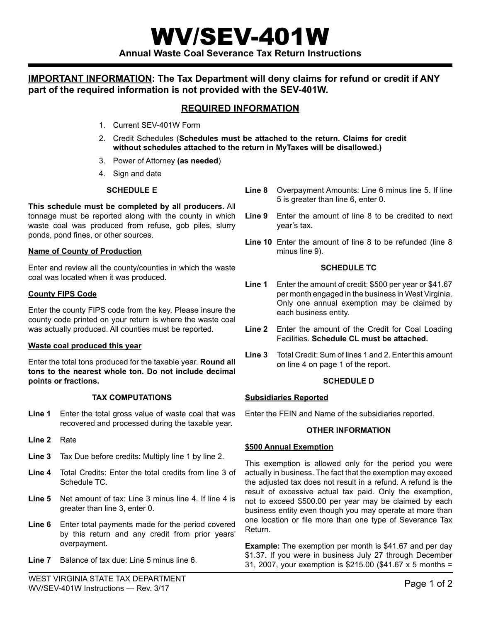# **IMPORTANT INFORMATION: The Tax Department will deny claims for refund or credit if ANY part of the required information is not provided with the SEV-401W.**

# **Required information**

- 1. Current SEV-401W Form
- 2. Credit Schedules (**Schedules must be attached to the return. Claims for credit without schedules attached to the return in MyTaxes will be disallowed.)**
- 3. Power of Attorney **(as needed**)
- 4. Sign and date

## **Schedule E**

**This schedule must be completed by all producers.** All tonnage must be reported along with the county in which waste coal was produced from refuse, gob piles, slurry ponds, pond fines, or other sources.

### **Name of County of Production**

Enter and review all the county/counties in which the waste coal was located when it was produced.

# **County FIPS Code**

Enter the county FIPS code from the key. Please insure the county code printed on your return is where the waste coal was actually produced. All counties must be reported.

### **Waste coal produced this year**

Enter the total tons produced for the taxable year. **Round all tons to the nearest whole ton. Do not include decimal points or fractions.**

# **Tax computations**

- **Line 1** Enter the total gross value of waste coal that was recovered and processed during the taxable year.
- **Line 2** Rate
- **Line 3** Tax Due before credits: Multiply line 1 by line 2.
- **Line 4** Total Credits: Enter the total credits from line 3 of Schedule TC.
- **Line 5** Net amount of tax: Line 3 minus line 4. If line 4 is greater than line 3, enter 0.
- **Line 6** Enter total payments made for the period covered by this return and any credit from prior years' overpayment.
- **Line 7** Balance of tax due: Line 5 minus line 6.
- **Line 8** Overpayment Amounts: Line 6 minus line 5. If line 5 is greater than line 6, enter 0.
- **Line 9** Enter the amount of line 8 to be credited to next year's tax.
- **Line 10** Enter the amount of line 8 to be refunded (line 8 minus line 9).

## **Schedule TC**

- **Line 1** Enter the amount of credit: \$500 per year or \$41.67 per month engaged in the business in West Virginia. Only one annual exemption may be claimed by each business entity.
- **Line 2** Enter the amount of the Credit for Coal Loading Facilities. **Schedule CL must be attached.**
- **Line 3** Total Credit: Sum of lines 1 and 2. Enter this amount on line 4 on page 1 of the report.

# **Schedule D**

### **Subsidiaries Reported**

Enter the FEIN and Name of the subsidiaries reported.

# **Other information**

### **\$500 Annual Exemption**

This exemption is allowed only for the period you were actually in business. The fact that the exemption may exceed the adjusted tax does not result in a refund. A refund is the result of excessive actual tax paid. Only the exemption, not to exceed \$500.00 per year may be claimed by each business entity even though you may operate at more than one location or file more than one type of Severance Tax Return.

**Example:** The exemption per month is \$41.67 and per day \$1.37. If you were in business July 27 through December 31, 2007, your exemption is \$215.00 (\$41.67 x 5 months =